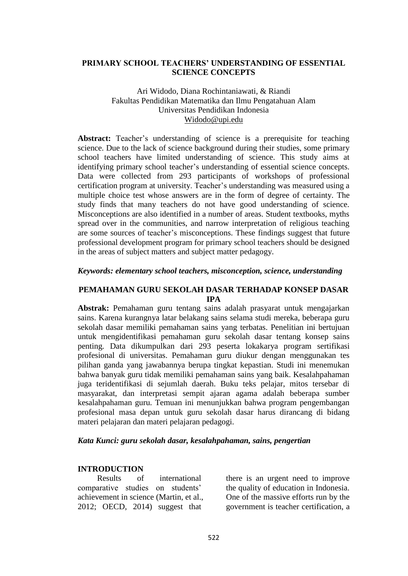## **PRIMARY SCHOOL TEACHERS' UNDERSTANDING OF ESSENTIAL SCIENCE CONCEPTS**

## Ari Widodo, Diana Rochintaniawati, & Riandi Fakultas Pendidikan Matematika dan Ilmu Pengatahuan Alam Universitas Pendidikan Indonesia [Widodo@upi.edu](mailto:Widodo@upi.edu)

**Abstract:** Teacher's understanding of science is a prerequisite for teaching science. Due to the lack of science background during their studies, some primary school teachers have limited understanding of science. This study aims at identifying primary school teacher's understanding of essential science concepts. Data were collected from 293 participants of workshops of professional certification program at university. Teacher's understanding was measured using a multiple choice test whose answers are in the form of degree of certainty. The study finds that many teachers do not have good understanding of science. Misconceptions are also identified in a number of areas. Student textbooks, myths spread over in the communities, and narrow interpretation of religious teaching are some sources of teacher's misconceptions. These findings suggest that future professional development program for primary school teachers should be designed in the areas of subject matters and subject matter pedagogy.

### *Keywords: elementary school teachers, misconception, science, understanding*

## **PEMAHAMAN GURU SEKOLAH DASAR TERHADAP KONSEP DASAR IPA**

**Abstrak:** Pemahaman guru tentang sains adalah prasyarat untuk mengajarkan sains. Karena kurangnya latar belakang sains selama studi mereka, beberapa guru sekolah dasar memiliki pemahaman sains yang terbatas. Penelitian ini bertujuan untuk mengidentifikasi pemahaman guru sekolah dasar tentang konsep sains penting. Data dikumpulkan dari 293 peserta lokakarya program sertifikasi profesional di universitas. Pemahaman guru diukur dengan menggunakan tes pilihan ganda yang jawabannya berupa tingkat kepastian. Studi ini menemukan bahwa banyak guru tidak memiliki pemahaman sains yang baik. Kesalahpahaman juga teridentifikasi di sejumlah daerah. Buku teks pelajar, mitos tersebar di masyarakat, dan interpretasi sempit ajaran agama adalah beberapa sumber kesalahpahaman guru. Temuan ini menunjukkan bahwa program pengembangan profesional masa depan untuk guru sekolah dasar harus dirancang di bidang materi pelajaran dan materi pelajaran pedagogi.

### *Kata Kunci: guru sekolah dasar, kesalahpahaman, sains, pengertian*

### **INTRODUCTION**

Results of international comparative studies on students' achievement in science (Martin, et al., 2012; OECD, 2014) suggest that

there is an urgent need to improve the quality of education in Indonesia. One of the massive efforts run by the government is teacher certification, a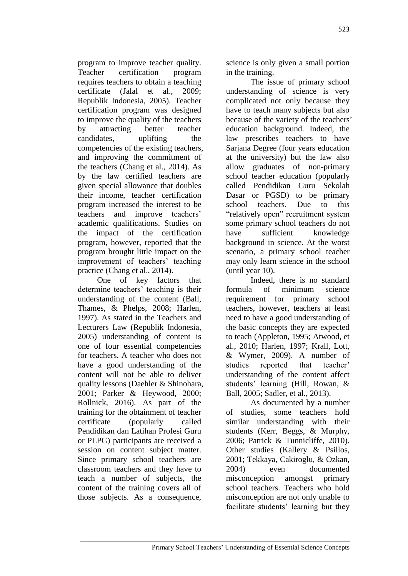program to improve teacher quality. Teacher certification program requires teachers to obtain a teaching certificate (Jalal et al., 2009; Republik Indonesia, 2005). Teacher certification program was designed to improve the quality of the teachers by attracting better teacher candidates, uplifting the competencies of the existing teachers, and improving the commitment of the teachers (Chang et al., 2014). As by the law certified teachers are given special allowance that doubles their income, teacher certification program increased the interest to be teachers and improve teachers' academic qualifications. Studies on the impact of the certification program, however, reported that the program brought little impact on the improvement of teachers' teaching practice (Chang et al., 2014).

One of key factors that determine teachers' teaching is their understanding of the content (Ball, Thames, & Phelps, 2008; Harlen, 1997). As stated in the Teachers and Lecturers Law (Republik Indonesia, 2005) understanding of content is one of four essential competencies for teachers. A teacher who does not have a good understanding of the content will not be able to deliver quality lessons (Daehler & Shinohara, 2001; Parker & Heywood, 2000; Rollnick, 2016). As part of the training for the obtainment of teacher certificate (popularly called Pendidikan dan Latihan Profesi Guru or PLPG) participants are received a session on content subject matter. Since primary school teachers are classroom teachers and they have to teach a number of subjects, the content of the training covers all of those subjects. As a consequence,

science is only given a small portion in the training.

The issue of primary school understanding of science is very complicated not only because they have to teach many subjects but also because of the variety of the teachers' education background. Indeed, the law prescribes teachers to have Sarjana Degree (four years education at the university) but the law also allow graduates of non-primary school teacher education (popularly called Pendidikan Guru Sekolah Dasar or PGSD) to be primary school teachers. Due to this "relatively open" recruitment system some primary school teachers do not have sufficient knowledge background in science. At the worst scenario, a primary school teacher may only learn science in the school (until year 10).

Indeed, there is no standard formula of minimum science requirement for primary school teachers, however, teachers at least need to have a good understanding of the basic concepts they are expected to teach (Appleton, 1995; Atwood, et al., 2010; Harlen, 1997; Krall, Lott, & Wymer, 2009). A number of studies reported that teacher' understanding of the content affect students' learning (Hill, Rowan, & Ball, 2005; Sadler, et al., 2013).

As documented by a number of studies, some teachers hold similar understanding with their students (Kerr, Beggs, & Murphy, 2006; Patrick & Tunnicliffe, 2010). Other studies (Kallery & Psillos, 2001; Tekkaya, Cakiroglu, & Ozkan, 2004) even documented misconception amongst primary school teachers. Teachers who hold misconception are not only unable to facilitate students' learning but they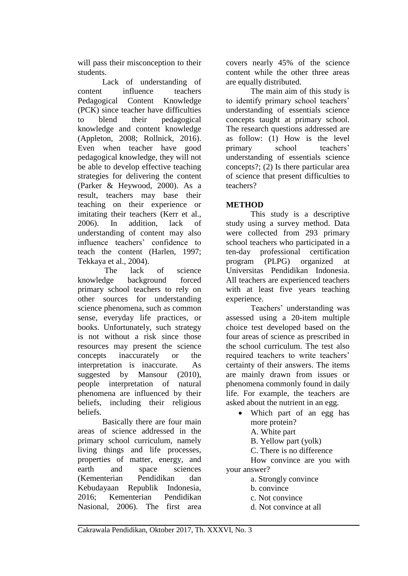will pass their misconception to their students.

Lack of understanding of content influence teachers Pedagogical Content Knowledge (PCK) since teacher have difficulties to blend their pedagogical knowledge and content knowledge (Appleton, 2008; Rollnick, 2016). Even when teacher have good pedagogical knowledge, they will not be able to develop effective teaching strategies for delivering the content (Parker & Heywood, 2000). As a result, teachers may base their teaching on their experience or imitating their teachers (Kerr et al., 2006). In addition, lack of understanding of content may also influence teachers' confidence to teach the content (Harlen, 1997; Tekkaya et al., 2004).

The lack of science knowledge background forced primary school teachers to rely on other sources for understanding science phenomena, such as common sense, everyday life practices, or books. Unfortunately, such strategy is not without a risk since those resources may present the science concepts inaccurately or the interpretation is inaccurate. As suggested by Mansour (2010). people interpretation of natural phenomena are influenced by their beliefs, including their religious beliefs.

Basically there are four main areas of science addressed in the primary school curriculum, namely living things and life processes, properties of matter, energy, and earth and space sciences (Kementerian Pendidikan dan Kebudayaan Republik Indonesia, 2016; Kementerian Pendidikan Nasional, 2006). The first area covers nearly 45% of the science content while the other three areas are equally distributed.

The main aim of this study is to identify primary school teachers' understanding of essentials science concepts taught at primary school. The research questions addressed are as follow: (1) How is the level primary school teachers' understanding of essentials science concepts?; (2) Is there particular area of science that present difficulties to teachers?

# **METHOD**

This study is a descriptive study using a survey method. Data were collected from 293 primary school teachers who participated in a ten-day professional certification program (PLPG) organized at Universitas Pendidikan Indonesia. All teachers are experienced teachers with at least five years teaching experience.

Teachers' understanding was assessed using a 20-item multiple choice test developed based on the four areas of science as prescribed in the school curriculum. The test also required teachers to write teachers' certainty of their answers. The items are mainly drawn from issues or phenomena commonly found in daily life. For example, the teachers are asked about the nutrient in an egg.

- Which part of an egg has more protein?
	- A. White part
	- B. Yellow part (yolk)
	- C. There is no difference

How convince are you with your answer?

- a. Strongly convince
- b. convince
- c. Not convince
- d. Not convince at all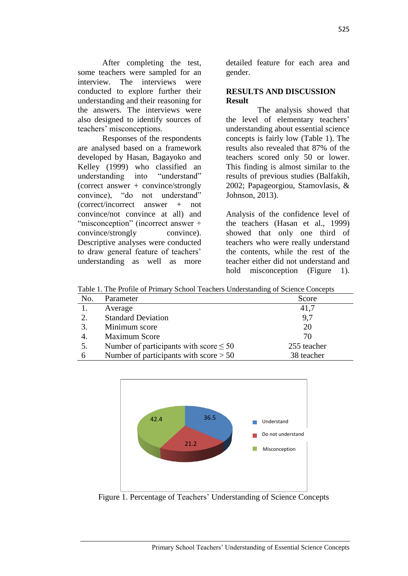After completing the test, some teachers were sampled for an interview. The interviews were conducted to explore further their understanding and their reasoning for the answers. The interviews were also designed to identify sources of teachers' misconceptions.

Responses of the respondents are analysed based on a framework developed by Hasan, Bagayoko and Kelley (1999) who classified an understanding into "understand" (correct answer + convince/strongly convince), "do not understand" (correct/incorrect answer + not convince/not convince at all) and "misconception" (incorrect answer + convince/strongly convince). Descriptive analyses were conducted to draw general feature of teachers' understanding as well as more detailed feature for each area and gender.

## **RESULTS AND DISCUSSION Result**

The analysis showed that the level of elementary teachers' understanding about essential science concepts is fairly low (Table 1). The results also revealed that 87% of the teachers scored only 50 or lower. This finding is almost similar to the results of previous studies (Balfakih, 2002; Papageorgiou, Stamovlasis, & Johnson, 2013).

Analysis of the confidence level of the teachers (Hasan et al., 1999) showed that only one third of teachers who were really understand the contents, while the rest of the teacher either did not understand and hold misconception (Figure 1).

Table 1. The Profile of Primary School Teachers Understanding of Science Concepts

| No. | Parameter                                   | Score       |
|-----|---------------------------------------------|-------------|
|     | Average                                     | 41,7        |
| 2.  | <b>Standard Deviation</b>                   | 9,7         |
| 3.  | Minimum score                               | 20          |
| 4.  | <b>Maximum Score</b>                        | 70          |
| 5.  | Number of participants with score $\leq 50$ | 255 teacher |
| 6   | Number of participants with score $> 50$    | 38 teacher  |



Figure 1. Percentage of Teachers' Understanding of Science Concepts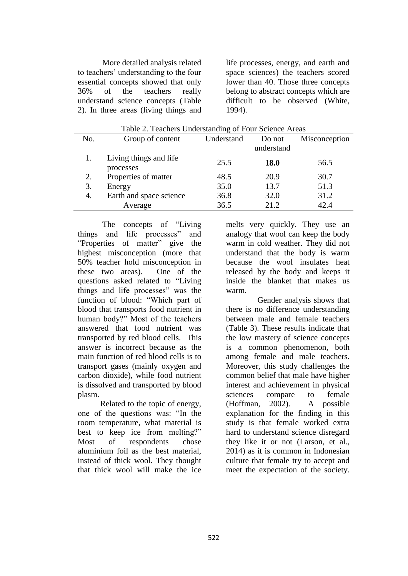More detailed analysis related to teachers' understanding to the four essential concepts showed that only 36% of the teachers really understand science concepts (Table 2). In three areas (living things and life processes, energy, and earth and space sciences) the teachers scored lower than 40. Those three concepts belong to abstract concepts which are difficult to be observed (White, 1994).

| No. | Group of content                    | Understand | Do not<br>understand | Misconception |
|-----|-------------------------------------|------------|----------------------|---------------|
|     |                                     |            |                      |               |
|     | Living things and life<br>processes | 25.5       | <b>18.0</b>          | 56.5          |
| 2.  | Properties of matter                | 48.5       | 20.9                 | 30.7          |
| 3.  | Energy                              | 35.0       | 13.7                 | 51.3          |
| 4.  | Earth and space science             | 36.8       | 32.0                 | 31.2          |
|     | Average                             | 36.5       | 21.2                 | 42.4          |

Table 2. Teachers Understanding of Four Science Areas

The concepts of "Living things and life processes" and "Properties of matter" give the highest misconception (more that 50% teacher hold misconception in these two areas). One of the questions asked related to "Living things and life processes" was the function of blood: "Which part of blood that transports food nutrient in human body?" Most of the teachers answered that food nutrient was transported by red blood cells. This answer is incorrect because as the main function of red blood cells is to transport gases (mainly oxygen and carbon dioxide), while food nutrient is dissolved and transported by blood plasm.

Related to the topic of energy, one of the questions was: "In the room temperature, what material is best to keep ice from melting?" Most of respondents chose aluminium foil as the best material, instead of thick wool. They thought that thick wool will make the ice

melts very quickly. They use an analogy that wool can keep the body warm in cold weather. They did not understand that the body is warm because the wool insulates heat released by the body and keeps it inside the blanket that makes us warm.

Gender analysis shows that there is no difference understanding between male and female teachers (Table 3). These results indicate that the low mastery of science concepts is a common phenomenon, both among female and male teachers. Moreover, this study challenges the common belief that male have higher interest and achievement in physical sciences compare to female (Hoffman, 2002). A possible explanation for the finding in this study is that female worked extra hard to understand science disregard they like it or not (Larson, et al., 2014) as it is common in Indonesian culture that female try to accept and meet the expectation of the society.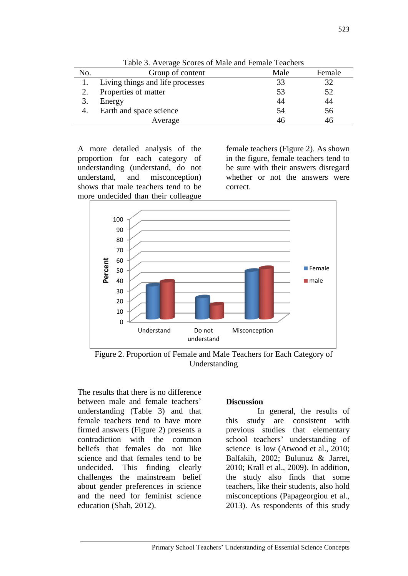| THOIC DI ITTOINGO DOOIOD OI ITMIO MIG I OINMIO TOMONOID |                                  |      |        |  |  |
|---------------------------------------------------------|----------------------------------|------|--------|--|--|
| No.                                                     | Group of content                 | Male | Female |  |  |
|                                                         | Living things and life processes |      | 32     |  |  |
|                                                         | Properties of matter             | 53   | 52     |  |  |
|                                                         | Energy                           | 44   | 44     |  |  |
|                                                         | Earth and space science          | 54   | 56     |  |  |
|                                                         | Average                          | 46   | 46     |  |  |
|                                                         |                                  |      |        |  |  |

Table 3. Average Scores of Male and Female Teachers

A more detailed analysis of the proportion for each category of understanding (understand, do not understand, and misconception) shows that male teachers tend to be more undecided than their colleague

female teachers (Figure 2). As shown in the figure, female teachers tend to be sure with their answers disregard whether or not the answers were correct.



Figure 2. Proportion of Female and Male Teachers for Each Category of Understanding

The results that there is no difference between male and female teachers' understanding (Table 3) and that female teachers tend to have more firmed answers (Figure 2) presents a contradiction with the common beliefs that females do not like science and that females tend to be undecided. This finding clearly challenges the mainstream belief about gender preferences in science and the need for feminist science education (Shah, 2012).

### **Discussion**

In general, the results of this study are consistent with previous studies that elementary school teachers' understanding of science is low (Atwood et al., 2010; Balfakih, 2002; Bulunuz & Jarret, 2010; Krall et al., 2009). In addition, the study also finds that some teachers, like their students, also hold misconceptions (Papageorgiou et al., 2013). As respondents of this study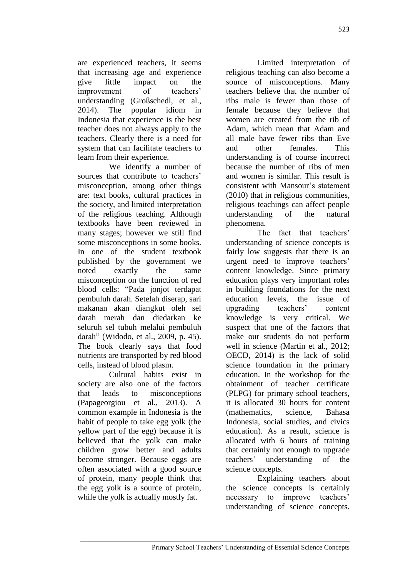are experienced teachers, it seems that increasing age and experience give little impact on the improvement of teachers' understanding (Großschedl, et al., 2014). The popular idiom in Indonesia that experience is the best teacher does not always apply to the teachers. Clearly there is a need for system that can facilitate teachers to learn from their experience.

We identify a number of sources that contribute to teachers' misconception, among other things are: text books, cultural practices in the society, and limited interpretation of the religious teaching. Although textbooks have been reviewed in many stages; however we still find some misconceptions in some books. In one of the student textbook published by the government we noted exactly the same misconception on the function of red blood cells: "Pada jonjot terdapat pembuluh darah. Setelah diserap, sari makanan akan diangkut oleh sel darah merah dan diedarkan ke seluruh sel tubuh melalui pembuluh darah" (Widodo, et al., 2009, p. 45). The book clearly says that food nutrients are transported by red blood cells, instead of blood plasm.

Cultural habits exist in society are also one of the factors that leads to misconceptions (Papageorgiou et al., 2013). A common example in Indonesia is the habit of people to take egg yolk (the yellow part of the egg) because it is believed that the yolk can make children grow better and adults become stronger. Because eggs are often associated with a good source of protein, many people think that the egg yolk is a source of protein, while the yolk is actually mostly fat.

Limited interpretation of religious teaching can also become a source of misconceptions. Many teachers believe that the number of ribs male is fewer than those of female because they believe that women are created from the rib of Adam, which mean that Adam and all male have fewer ribs than Eve and other females. This understanding is of course incorrect because the number of ribs of men and women is similar. This result is consistent with Mansour's statement (2010) that in religious communities, religious teachings can affect people understanding of the natural phenomena.

The fact that teachers' understanding of science concepts is fairly low suggests that there is an urgent need to improve teachers' content knowledge. Since primary education plays very important roles in building foundations for the next education levels, the issue of upgrading teachers' content knowledge is very critical. We suspect that one of the factors that make our students do not perform well in science (Martin et al., 2012; OECD, 2014) is the lack of solid science foundation in the primary education. In the workshop for the obtainment of teacher certificate (PLPG) for primary school teachers, it is allocated 30 hours for content (mathematics, science, Bahasa Indonesia, social studies, and civics education). As a result, science is allocated with 6 hours of training that certainly not enough to upgrade teachers' understanding of the science concepts.

Explaining teachers about the science concepts is certainly necessary to improve teachers' understanding of science concepts.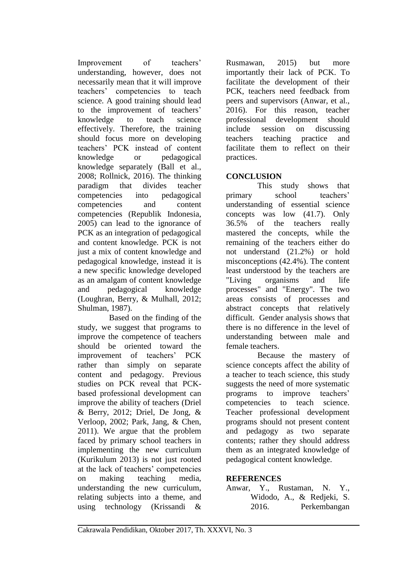Improvement of teachers' understanding, however, does not necessarily mean that it will improve teachers' competencies to teach science. A good training should lead to the improvement of teachers' knowledge to teach science effectively. Therefore, the training should focus more on developing teachers' PCK instead of content knowledge or pedagogical knowledge separately (Ball et al., 2008; Rollnick, 2016). The thinking paradigm that divides teacher competencies into pedagogical competencies and content competencies (Republik Indonesia, 2005) can lead to the ignorance of PCK as an integration of pedagogical and content knowledge. PCK is not just a mix of content knowledge and pedagogical knowledge, instead it is a new specific knowledge developed as an amalgam of content knowledge and pedagogical knowledge (Loughran, Berry, & Mulhall, 2012; Shulman, 1987).

Based on the finding of the study, we suggest that programs to improve the competence of teachers should be oriented toward the improvement of teachers' PCK rather than simply on separate content and pedagogy. Previous studies on PCK reveal that PCKbased professional development can improve the ability of teachers (Driel & Berry, 2012; Driel, De Jong, & Verloop, 2002; Park, Jang, & Chen, 2011). We argue that the problem faced by primary school teachers in implementing the new curriculum (Kurikulum 2013) is not just rooted at the lack of teachers' competencies on making teaching media, understanding the new curriculum, relating subjects into a theme, and using technology (Krissandi &

Rusmawan, 2015) but more importantly their lack of PCK. To facilitate the development of their PCK, teachers need feedback from peers and supervisors (Anwar, et al., 2016). For this reason, teacher professional development should include session on discussing teachers teaching practice and facilitate them to reflect on their practices.

# **CONCLUSION**

This study shows that primary school teachers' understanding of essential science concepts was low (41.7). Only 36.5% of the teachers really mastered the concepts, while the remaining of the teachers either do not understand (21.2%) or hold misconceptions (42.4%). The content least understood by the teachers are "Living organisms and life processes" and "Energy". The two areas consists of processes and abstract concepts that relatively difficult. Gender analysis shows that there is no difference in the level of understanding between male and female teachers.

Because the mastery of science concepts affect the ability of a teacher to teach science, this study suggests the need of more systematic programs to improve teachers' competencies to teach science. Teacher professional development programs should not present content and pedagogy as two separate contents; rather they should address them as an integrated knowledge of pedagogical content knowledge.

## **REFERENCES**

Anwar, Y., Rustaman, N. Y., Widodo, A., & Redjeki, S. 2016. Perkembangan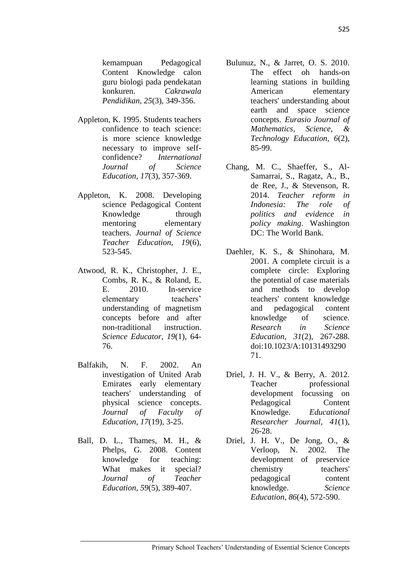kemampuan Pedagogical Content Knowledge calon guru biologi pada pendekatan konkuren. *Cakrawala Pendidikan, 25*(3), 349-356.

- Appleton, K. 1995. Students teachers confidence to teach science: is more science knowledge necessary to improve selfconfidence? *International Journal of Science Education, 17*(3), 357-369.
- Appleton, K. 2008. Developing science Pedagogical Content Knowledge through mentoring elementary teachers. *Journal of Science Teacher Education, 19*(6), 523-545.
- Atwood, R. K., Christopher, J. E., Combs, R. K., & Roland, E. E. 2010. In-service elementary teachers' understanding of magnetism concepts before and after non-traditional instruction. *Science Educator, 19*(1), 64- 76.
- Balfakih, N. F. 2002. An investigation of United Arab Emirates early elementary teachers' understanding of physical science concepts. *Journal of Faculty of Education, 17*(19), 3-25.
- Ball, D. L., Thames, M. H., & Phelps, G. 2008. Content knowledge for teaching: What makes it special? *Journal of Teacher Education, 59*(5), 389-407.
- Bulunuz, N., & Jarret, O. S. 2010. The effect oh hands-on learning stations in building American elementary teachers' understanding about earth and space science concepts. *Eurasio Journal of Mathematics, Science, & Technology Education, 6*(2), 85-99.
- Chang, M. C., Shaeffer, S., Al-Samarrai, S., Ragatz, A., B., de Ree, J., & Stevenson, R. 2014. *Teacher reform in Indonesia: The role of politics and evidence in policy making*. Washington DC: The World Bank.
- Daehler, K. S., & Shinohara, M. 2001. A complete circuit is a complete circle: Exploring the potential of case materials and methods to develop teachers' content knowledge and pedagogical content knowledge of science. *Research in Science Education, 31*(2), 267-288. doi:10.1023/A:10131493290 71.
- Driel, J. H. V., & Berry, A. 2012. Teacher professional development focussing on Pedagogical Content Knowledge. *Educational Researcher Journal, 41*(1), 26-28.
- Driel, J. H. V., De Jong, O., & Verloop, N. 2002. The development of preservice chemistry teachers' pedagogical content knowledge. *Science Education, 86*(4), 572-590.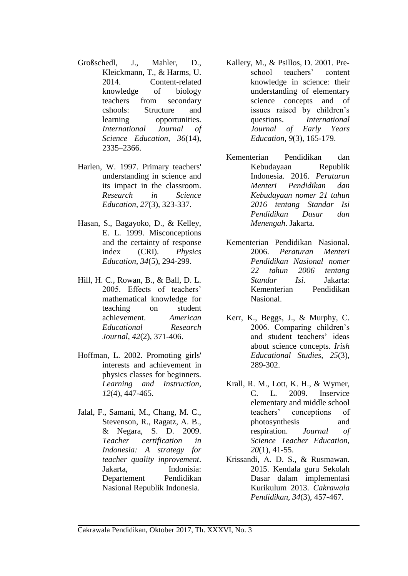- Großschedl, J., Mahler, D., Kleickmann, T., & Harms, U. 2014. Content-related knowledge of biology teachers from secondary cshools: Structure and learning opportunities. *International Journal of Science Education, 36*(14), 2335–2366.
- Harlen, W. 1997. Primary teachers' understanding in science and its impact in the classroom. *Research in Science Education, 27*(3), 323-337.
- Hasan, S., Bagayoko, D., & Kelley, E. L. 1999. Misconceptions and the certainty of response index (CRI). *Physics Education, 34*(5), 294-299.
- Hill, H. C., Rowan, B., & Ball, D. L. 2005. Effects of teachers' mathematical knowledge for teaching on student achievement. *American Educational Research Journal, 42*(2), 371-406.
- Hoffman, L. 2002. Promoting girls' interests and achievement in physics classes for beginners. *Learning and Instruction, 12*(4), 447-465.
- Jalal, F., Samani, M., Chang, M. C., Stevenson, R., Ragatz, A. B., & Negara, S. D. 2009. *Teacher certification in Indonesia: A strategy for teacher quality inprovement*. Jakarta, Indonisia: Departement Pendidikan Nasional Republik Indonesia.
- Kallery, M., & Psillos, D. 2001. Preschool teachers' content knowledge in science: their understanding of elementary science concepts and of issues raised by children's questions. *International Journal of Early Years Education, 9*(3), 165-179.
- Kementerian Pendidikan dan Kebudayaan Republik Indonesia. 2016. *Peraturan Menteri Pendidikan dan Kebudayaan nomer 21 tahun 2016 tentang Standar Isi Pendidikan Dasar dan Menengah*. Jakarta.
- Kementerian Pendidikan Nasional. 2006. *Peraturan Menteri Pendidikan Nasional nomer 22 tahun 2006 tentang Standar Isi*. Jakarta: Kementerian Pendidikan Nasional.
- Kerr, K., Beggs, J., & Murphy, C. 2006. Comparing children's and student teachers' ideas about science concepts. *Irish Educational Studies, 25*(3), 289-302.
- Krall, R. M., Lott, K. H., & Wymer, C. L. 2009. Inservice elementary and middle school teachers' conceptions of photosynthesis and respiration. *Journal of Science Teacher Education, 20*(1), 41-55.
- Krissandi, A. D. S., & Rusmawan. 2015. Kendala guru Sekolah Dasar dalam implementasi Kurikulum 2013. *Cakrawala Pendidikan, 34*(3), 457-467.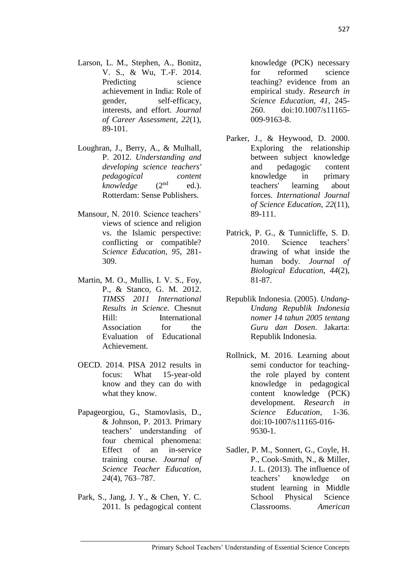- Larson, L. M., Stephen, A., Bonitz, V. S., & Wu, T.-F. 2014. Predicting science achievement in India: Role of gender, self-efficacy, interests, and effort. *Journal of Career Assessment, 22*(1), 89-101.
- Loughran, J., Berry, A., & Mulhall, P. 2012. *Understanding and developing science teachers' pedagogical content (* $2<sup>nd</sup>$  *ed.).* Rotterdam: Sense Publishers.
- Mansour, N. 2010. Science teachers' views of science and religion vs. the Islamic perspective: conflicting or compatible? *Science Education, 95*, 281- 309.
- Martin, M. O., Mullis, I. V. S., Foy, P., & Stanco, G. M. 2012. *TIMSS 2011 International Results in Science.* Chesnut Hill: International Association for the Evaluation of Educational Achievement.
- OECD. 2014. PISA 2012 results in focus: What 15-year-old know and they can do with what they know.
- Papageorgiou, G., Stamovlasis, D., & Johnson, P. 2013. Primary teachers' understanding of four chemical phenomena: Effect of an in-service training course. *Journal of Science Teacher Education, 24*(4), 763–787.
- Park, S., Jang, J. Y., & Chen, Y. C. 2011. Is pedagogical content

knowledge (PCK) necessary for reformed science teaching? evidence from an empirical study. *Research in Science Education, 41*, 245- 260. doi:10.1007/s11165- 009-9163-8.

- Parker, J., & Heywood, D. 2000. Exploring the relationship between subject knowledge and pedagogic content knowledge in primary teachers' learning about forces. *International Journal of Science Education, 22*(11), 89-111.
- Patrick, P. G., & Tunnicliffe, S. D. 2010. Science teachers' drawing of what inside the human body. *Journal of Biological Education, 44*(2), 81-87.
- Republik Indonesia. (2005). *Undang-Undang Republik Indonesia nomer 14 tahun 2005 tentang Guru dan Dosen*. Jakarta: Republik Indonesia.
- Rollnick, M. 2016. Learning about semi conductor for teachingthe role played by content knowledge in pedagogical content knowledge (PCK) development. *Research in Science Education*, 1-36. doi:10-1007/s11165-016- 9530-1.
- Sadler, P. M., Sonnert, G., Coyle, H. P., Cook-Smith, N., & Miller, J. L. (2013). The influence of teachers' knowledge on student learning in Middle School Physical Science Classrooms. *American*